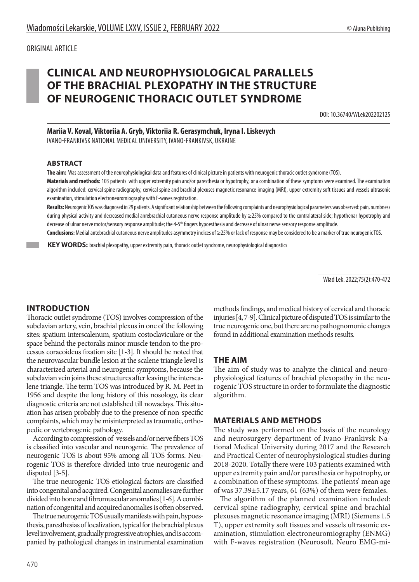# **CLINICAL AND NEUROPHYSIOLOGICAL PARALLELS OF THE BRACHIAL PLEXOPATHY IN THE STRUCTURE OF NEUROGENIC THORACIC OUTLET SYNDROME**

DOI: 10.36740/WLek202202125

## **Mariia V. Koval, Viktoriia A. Gryb, Viktoriia R. Gerasymchuk, Iryna I. Liskevych**

IVANO-FRANKIVSK NATIONAL MEDICAL UNIVERSITY, IVANO-FRANKIVSK, UKRAINE

#### **ABSTRACT**

**The aim:** Was assessment of the neurophysiological data and features of clinical picture in patients with neurogenic thoracic outlet syndrome (TOS).

Materials and methods: 103 patients with upper extremity pain and/or paresthesia or hypotrophy, or a combination of these symptoms were examined. The examination algorithm included: cervical spine radiography, cervical spine and brachial plexuses magnetic resonance imaging (MRI), upper extremity soft tissues and vessels ultrasonic examination, stimulation electroneuromiography with F-waves registration.

**Results:** Neurogenic TOS was diagnosed in 29 patients. A significant relationship between the following complaints and neurophysiological parameters was observed: pain, numbness during physical activity and decreased medial anrebrachial cutaneous nerve response amplitude by ≥25% compared to the contralateral side; hypothenar hypotrophy and decrease of ulnar nerve motor/sensory response amplitude; the 4-5<sup>th</sup> fingers hypoesthesia and decrease of ulnar nerve sensory response amplitude.

**Conclusions:** Medial antebrachial cutaneous nerve amplitudes asymmetry indices of ≥25% or lack of response may be considered to be a marker of true neurogenic TOS.

 **KEY WORDS:** brachial plexopathy, upper extremity pain, thoracic outlet syndrome, neurophysiological diagnostics

Wiad Lek. 2022;75(2):470-472

## **INTRODUCTION**

Thoracic outlet syndrome (TOS) involves compression of the subclavian artery, vein, brachial plexus in one of the following sites: spatium interscalenum, spatium costoclaviculare or the space behind the pectoralis minor muscle tendon to the processus coracoideus fixation site [1-3]. It should be noted that the neurovascular bundle lesion at the scalene triangle level is characterized arterial and neurogenic symptoms, because the subclavian vein joins these structures after leaving the interscalene triangle. The term TOS was introduced by R. M. Peet in 1956 and despite the long history of this nosology, its clear diagnostic criteria are not established till nowadays. This situation has arisen probably due to the presence of non-specific complaints, which may be misinterpreted as traumatic, orthopedic or vertebrogenic pathology.

According to compression of vessels and/or nerve fibers TOS is classified into vascular and neurogenic. The prevalence of neurogenic TOS is about 95% among all TOS forms. Neurogenic TOS is therefore divided into true neurogenic and disputed [3-5].

The true neurogenic TOS etiological factors are classified into congenital and acquired. Congenital anomalies are further divided into bone and fibromuscular anomalies [1-6]. A combination of congenital and acquired anomalies is often observed.

The true neurogenic TOS usually manifests with pain, hypoesthesia, paresthesias of localization, typical for the brachial plexus level involvement, gradually progressive atrophies, and is accompanied by pathological changes in instrumental examination methods findings, and medical history of cervical and thoracic injuries [4, 7-9]. Clinical picture of disputed TOS is similar to the true neurogenic one, but there are no pathognomonic changes found in additional examination methods results.

## **THE AIM**

The aim of study was to analyze the clinical and neurophysiological features of brachial plexopathy in the neurogenic TOS structure in order to formulate the diagnostic algorithm.

#### **MATERIALS AND METHODS**

The study was performed on the basis of the neurology and neurosurgery department of Ivano-Frankivsk National Medical University during 2017 and the Research and Practical Center of neurophysiological studies during 2018-2020. Totally there were 103 patients examined with upper extremity pain and/or paresthesia or hypotrophy, or a combination of these symptoms. The patients' mean age of was 37.39±5.17 years, 61 (63%) of them were females.

The algorithm of the planned examination included: cervical spine radiography, cervical spine and brachial plexuses magnetic resonance imaging (MRI) (Siemens 1.5 T), upper extremity soft tissues and vessels ultrasonic examination, stimulation electroneuromiography (ENMG) with F-waves registration (Neurosoft, Neuro EMG-mi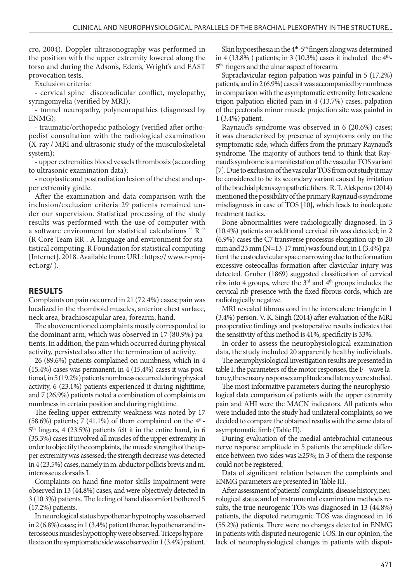cro, 2004). Doppler ultrasonography was performed in the position with the upper extremity lowered along the torso and during the Adson's, Eden's, Wright's and EAST provocation tests.

Exclusion criteria:

- cervical spine discoradicular conflict, myelopathy, syringomyelia (verified by MRI);

- tunnel neuropathy, polyneuropathies (diagnosed by ENMG);

- traumatic/orthopedic pathology (verified after orthopedist consultation with the radiological examination (X-ray / MRI and ultrasonic study of the musculoskeletal system);

- upper extremities blood vessels thrombosis (according to ultrasonic examination data);

- neoplastic and postradiation lesion of the chest and upper extremity girdle.

After the examination and data comparison with the inclusion/exclusion criteria 29 patients remained under our supervision. Statistical processing of the study results was performed with the use of computer with a software environment for statistical calculations " R " (R Core Team RR . A language and environment for statistical computing. R Foundation for statistical computing [Internet]. 2018. Available from: URL: https:// www.r-project.org/ ).

## **RESULTS**

Complaints on pain occurred in 21 (72.4%) cases; pain was localized in the rhomboid muscles, anterior chest surface, neck area, brachioscapular area, forearm, hand.

The abovementioned complaints mostly corresponded to the dominant arm, which was observed in 17 (80.9%) patients. In addition, the pain which occurred during physical activity, persisted also after the termination of activity.

26 (89.6%) patients complained on numbness, which in 4 (15.4%) cases was permanent, in 4 (15.4%) cases it was positional, in 5 (19.2%) patients numbness occurred during physical activity, 6 (23.1%) patients experienced it during nighttime, and 7 (26.9%) patients noted a combination of complaints on numbness in certain position and during nighttime.

The feeling upper extremity weakness was noted by 17  $(58.6%)$  patients; 7 (41.1%) of them complained on the 4<sup>th</sup>- $5<sup>th</sup>$  fingers, 4 (23.5%) patients felt it in the entire hand, in 6 (35.3%) cases it involved all muscles of the upper extremity. In order to objectify the complaints, the muscle strength of the upper extremity was assessed; the strength decrease was detected in 4 (23.5%) cases, namely in m. abductor pollicis brevis and m. interosseus dorsalis I.

Complaints on hand fine motor skills impairment were observed in 13 (44.8%) cases, and were objectively detected in 3 (10.3%) patients. The feeling of hand discomfort bothered 5 (17.2%) patients.

In neurological status hypothenar hypotrophy was observed in 2 (6.8%) cases; in 1 (3.4%) patient thenar, hypothenar and interosseous muscles hypotrophy were observed. Triceps hyporeflexia on the symptomatic side was observed in 1 (3.4%) patient.

Skin hypoesthesia in the  $4<sup>th</sup>$ -5<sup>th</sup> fingers along was determined in 4 (13.8%) patients; in 3 (10.3%) cases it included the  $4<sup>th</sup>$ -5<sup>th</sup> fingers and the ulnar aspect of forearm.

Supraclavicular region palpation was painful in 5 (17.2%) patients, and in 2 (6.9%) cases it was accompanied by numbness in comparison with the asymptomatic extremity. Intrescalene trigon palpation elicited pain in 4 (13.7%) cases, palpation of the pectoralis minor muscle projection site was painful in 1 (3.4%) patient.

Raynaud's syndrome was observed in 6 (20.6%) cases; it was characterized by presence of symptoms only on the symptomatic side, which differs from the primary Raynaud's syndrome. The majority of authors tend to think that Raynaud's syndrome is a manifestation of the vascular TOS variant [7]. Due to exclusion of the vascular TOS from out study it may be considered to be its secondary variant caused by irritation of the brachial plexus sympathetic fibers. R. T. Alekperov (2014) mentioned the possibility of the primary Raynaud›s syndrome misdiagnosis in case of TOS [10], which leads to inadequate treatment tactics.

Bone abnormalities were radiologically diagnosed. In 3 (10.4%) patients an additional cervical rib was detected; in 2 (6.9%) cases the C7 transverse processus elongation up to 20 mm and 23 mm (N=13-17 mm) was found out; in 1 (3.4%) patient the costoclavicular space narrowing due to the formation excessive osteocallus formation after clavicular injury was detected. Gruber (1869) suggested classification of cervical ribs into 4 groups, where the  $3<sup>rd</sup>$  and  $4<sup>th</sup>$  groups includes the cervical rib presence with the fixed fibrous cords, which are radiologically negative.

MRI revealed fibrous cord in the interscalene triangle in 1 (3.4%) person. V. K. Singh (2014) after evaluation of the MRI preoperative findings and postoperative results indicates that the sensitivity of this method is 41%, specificity is 33%.

In order to assess the neurophysiological examination data, the study included 20 apparently healthy individuals.

The neurophysiological investigation results are presented in table I; the parameters of the motor responses, the F - wave latency, the sensory responses amplitude and latency were studied.

The most informative parameters during the neurophysiological data comparison of patients with the upper extremity pain and AHI were the MACN indicators. All patients who were included into the study had unilateral complaints, so we decided to compare the obtained results with the same data of asymptomatic limb (Table II).

During evaluation of the medial antebrachial cutaneous nerve response amplitude in 5 patients the amplitude difference between two sides was ≥25%; in 3 of them the response could not be registered.

Data of significant relation between the complaints and ENMG parameters are presented in Table III.

After assessment of patients' complaints, disease history, neurological status and of instrumental examination methods results, the true neurogenic TOS was diagnosed in 13 (44.8%) patients, the disputed neurogenic TOS was diagnosed in 16 (55.2%) patients. There were no changes detected in ENMG in patients with disputed neurogenic TOS. In our opinion, the lack of neurophysiological changes in patients with disput-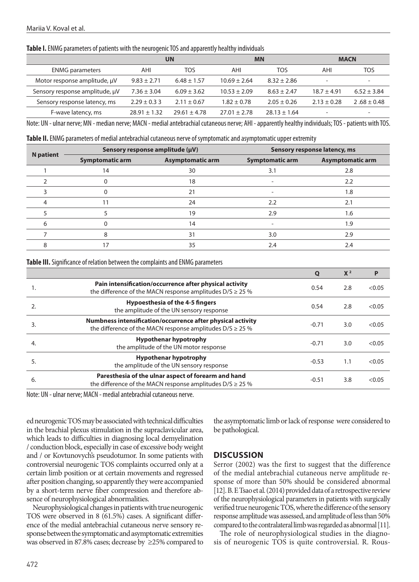**Table I.** ENMG parameters of patients with the neurogenic TOS and apparently healthy individuals

|                                | <b>UN</b>        |                  | <b>MN</b>        |                  | <b>MACN</b>              |                          |
|--------------------------------|------------------|------------------|------------------|------------------|--------------------------|--------------------------|
| <b>ENMG</b> parameters         | AHI              | TOS              | AHI              | TOS              | AHI                      | TOS                      |
| Motor response amplitude, µV   | $9.83 \pm 2.71$  | $6.48 \pm 1.57$  | $10.69 \pm 2.64$ | $8.32 \pm 2.86$  | $\overline{\phantom{0}}$ | $\overline{\phantom{a}}$ |
| Sensory response amplitude, µV | $7.36 \pm 3.04$  | $6.09 \pm 3.62$  | $10.53 + 2.09$   | $8.63 + 2.47$    | $18.7 + 4.91$            | $6.52 \pm 3.84$          |
| Sensory response latency, ms   | $2.29 \pm 0.33$  | $2.11 \pm 0.67$  | $1.82 \pm 0.78$  | $2.05 \pm 0.26$  | $2.13 \pm 0.28$          | $2.68 \pm 0.48$          |
| F-wave latency, ms             | $28.91 \pm 1.32$ | $29.61 \pm 4.78$ | $27.01 \pm 2.78$ | $28.13 \pm 1.64$ |                          | $\overline{\phantom{0}}$ |

Note: UN - ulnar nerve; MN - median nerve; MACN - medial antebrachial cutaneous nerve; AHI - apparently healthy individuals; TOS - patients with TOS.

**Table II.** ENMG parameters of medial antebrachial cutaneous nerve of symptomatic and asymptomatic upper extremity

| <b>N</b> patient |                        | Sensory response amplitude (µV) | Sensory response latency, ms |                  |  |
|------------------|------------------------|---------------------------------|------------------------------|------------------|--|
|                  | <b>Symptomatic arm</b> | <b>Asymptomatic arm</b>         | <b>Symptomatic arm</b>       | Asymptomatic arm |  |
|                  | 14                     | 30                              | 3.1                          | 2.8              |  |
|                  |                        | 18                              |                              | 2.2              |  |
|                  |                        | 21                              |                              | 1.8              |  |
|                  |                        | 24                              | 2.2                          | 2.1              |  |
|                  |                        | 19                              | 2.9                          | 1.6              |  |
|                  |                        | 14                              |                              | 1.9              |  |
|                  |                        | 31                              | 3.0                          | 2.9              |  |
|                  | 17                     | 35                              | 2.4                          | 2.4              |  |

**Table III.** Significance of relation between the complaints and ENMG parameters

|                                                                                                                               | Q       | X <sup>2</sup> | P      |
|-------------------------------------------------------------------------------------------------------------------------------|---------|----------------|--------|
| Pain intensification/occurrence after physical activity<br>the difference of the MACN response amplitudes $D/S \ge 25\%$      | 0.54    | 2.8            | < 0.05 |
| <b>Hypoesthesia of the 4-5 fingers</b><br>the amplitude of the UN sensory response                                            | 0.54    | 2.8            | < 0.05 |
| Numbness intensification/occurrence after physical activity<br>the difference of the MACN response amplitudes $D/S \geq 25\%$ | $-0.71$ | 3.0            | < 0.05 |
| <b>Hypothenar hypotrophy</b><br>the amplitude of the UN motor response                                                        | $-0.71$ | 3.0            | < 0.05 |
| <b>Hypothenar hypotrophy</b><br>the amplitude of the UN sensory response                                                      | $-0.53$ | 1.1            | < 0.05 |
| Paresthesia of the ulnar aspect of forearm and hand<br>the difference of the MACN response amplitudes $D/S \ge 25\%$          | $-0.51$ | 3.8            | < 0.05 |
|                                                                                                                               |         |                |        |

Note: UN - ulnar nerve; MACN - medial antebrachial cutaneous nerve.

ed neurogenic TOS may be associated with technical difficulties in the brachial plexus stimulation in the supraclavicular area, which leads to difficulties in diagnosing local demyelination / conduction block, especially in case of excessive body weight and / or Kovtunovych's pseudotumor. In some patients with controversial neurogenic TOS complaints occurred only at a certain limb position or at certain movements and regressed after position changing, so apparently they were accompanied by a short-term nerve fiber compression and therefore absence of neurophysiological abnormalities.

Neurophysiological changes in patients with true neurogenic TOS were observed in 8 (61.5%) cases. A significant difference of the medial antebrachial cutaneous nerve sensory response between the symptomatic and asymptomatic extremities was observed in 87.8% cases; decrease by ≥25% compared to the asymptomatic limb or lack of response were considered to be pathological.

## **DISCUSSION**

Serror (2002) was the first to suggest that the difference of the medial antebrachial cutaneous nerve amplitude response of more than 50% should be considered abnormal [12]. B. E Tsao et al. (2014) provided data of a retrospective review of the neurophysiological parameters in patients with surgically verified true neurogenic TOS, where the difference of the sensory response amplitude was assessed, and amplitude of less than 50% compared to the contralateral limb was regarded as abnormal [11].

The role of neurophysiological studies in the diagnosis of neurogenic TOS is quite controversial. R. Rous